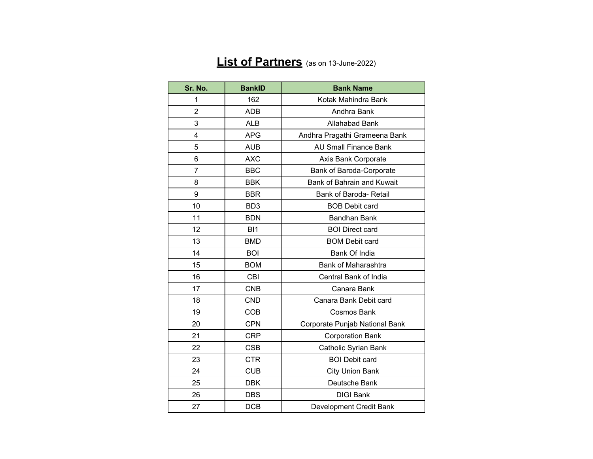## **List of Partners** (as on 13-June-2022)

| Sr. No.        | <b>BankID</b>   | <b>Bank Name</b>               |
|----------------|-----------------|--------------------------------|
| 1              | 162             | Kotak Mahindra Bank            |
| $\overline{2}$ | <b>ADB</b>      | Andhra Bank                    |
| 3              | <b>ALB</b>      | <b>Allahabad Bank</b>          |
| 4              | <b>APG</b>      | Andhra Pragathi Grameena Bank  |
| 5              | <b>AUB</b>      | <b>AU Small Finance Bank</b>   |
| 6              | <b>AXC</b>      | Axis Bank Corporate            |
| 7              | <b>BBC</b>      | Bank of Baroda-Corporate       |
| 8              | <b>BBK</b>      | Bank of Bahrain and Kuwait     |
| 9              | <b>BBR</b>      | Bank of Baroda- Retail         |
| 10             | BD <sub>3</sub> | <b>BOB Debit card</b>          |
| 11             | <b>BDN</b>      | <b>Bandhan Bank</b>            |
| 12             | BI <sub>1</sub> | <b>BOI Direct card</b>         |
| 13             | <b>BMD</b>      | <b>BOM Debit card</b>          |
| 14             | <b>BOI</b>      | Bank Of India                  |
| 15             | <b>BOM</b>      | Bank of Maharashtra            |
| 16             | <b>CBI</b>      | Central Bank of India          |
| 17             | <b>CNB</b>      | Canara Bank                    |
| 18             | <b>CND</b>      | Canara Bank Debit card         |
| 19             | <b>COB</b>      | <b>Cosmos Bank</b>             |
| 20             | <b>CPN</b>      | Corporate Punjab National Bank |
| 21             | <b>CRP</b>      | <b>Corporation Bank</b>        |
| 22             | <b>CSB</b>      | Catholic Syrian Bank           |
| 23             | <b>CTR</b>      | <b>BOI Debit card</b>          |
| 24             | <b>CUB</b>      | <b>City Union Bank</b>         |
| 25             | <b>DBK</b>      | Deutsche Bank                  |
| 26             | <b>DBS</b>      | <b>DIGI Bank</b>               |
| 27             | <b>DCB</b>      | Development Credit Bank        |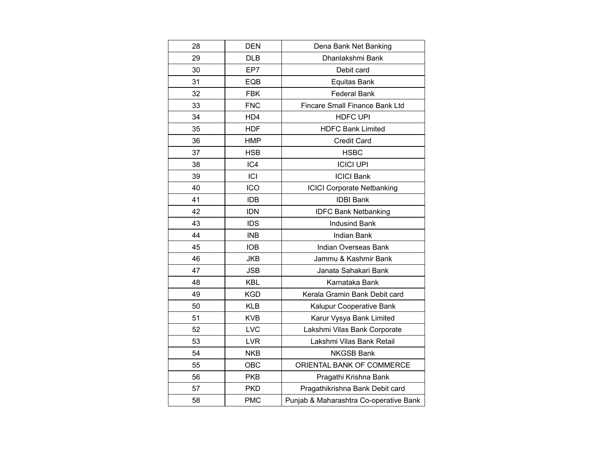| 28 | <b>DEN</b> | Dena Bank Net Banking                  |
|----|------------|----------------------------------------|
| 29 | <b>DLB</b> | Dhanlakshmi Bank                       |
| 30 | EP7        | Debit card                             |
| 31 | EQB        | <b>Equitas Bank</b>                    |
| 32 | FBK        | <b>Federal Bank</b>                    |
| 33 | <b>FNC</b> | Fincare Small Finance Bank Ltd         |
| 34 | HD4        | <b>HDFC UPI</b>                        |
| 35 | <b>HDF</b> | <b>HDFC Bank Limited</b>               |
| 36 | <b>HMP</b> | <b>Credit Card</b>                     |
| 37 | <b>HSB</b> | <b>HSBC</b>                            |
| 38 | IC4        | <b>ICICI UPI</b>                       |
| 39 | ICI        | <b>ICICI Bank</b>                      |
| 40 | ICO        | <b>ICICI Corporate Netbanking</b>      |
| 41 | <b>IDB</b> | <b>IDBI Bank</b>                       |
| 42 | <b>IDN</b> | <b>IDFC Bank Netbanking</b>            |
| 43 | <b>IDS</b> | <b>Indusind Bank</b>                   |
| 44 | <b>INB</b> | <b>Indian Bank</b>                     |
| 45 | <b>IOB</b> | Indian Overseas Bank                   |
| 46 | <b>JKB</b> | Jammu & Kashmir Bank                   |
| 47 | <b>JSB</b> | Janata Sahakari Bank                   |
| 48 | <b>KBL</b> | Karnataka Bank                         |
| 49 | <b>KGD</b> | Kerala Gramin Bank Debit card          |
| 50 | <b>KLB</b> | Kalupur Cooperative Bank               |
| 51 | <b>KVB</b> | Karur Vysya Bank Limited               |
| 52 | LVC        | Lakshmi Vilas Bank Corporate           |
| 53 | <b>LVR</b> | Lakshmi Vilas Bank Retail              |
| 54 | <b>NKB</b> | <b>NKGSB Bank</b>                      |
| 55 | OBC        | ORIENTAL BANK OF COMMERCE              |
| 56 | <b>PKB</b> | Pragathi Krishna Bank                  |
| 57 | <b>PKD</b> | Pragathikrishna Bank Debit card        |
| 58 | <b>PMC</b> | Punjab & Maharashtra Co-operative Bank |